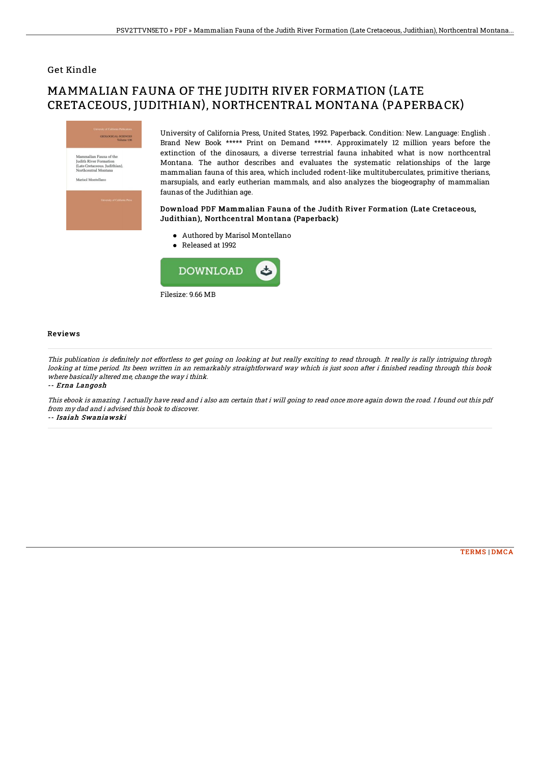### Get Kindle

# MAMMALIAN FAUNA OF THE JUDITH RIVER FORMATION (LATE CRETACEOUS, JUDITHIAN), NORTHCENTRAL MONTANA (PAPERBACK)



University of California Press, United States, 1992. Paperback. Condition: New. Language: English . Brand New Book \*\*\*\*\* Print on Demand \*\*\*\*\*. Approximately 12 million years before the extinction of the dinosaurs, a diverse terrestrial fauna inhabited what is now northcentral Montana. The author describes and evaluates the systematic relationships of the large mammalian fauna of this area, which included rodent-like multituberculates, primitive therians, marsupials, and early eutherian mammals, and also analyzes the biogeography of mammalian faunas of the Judithian age.

#### Download PDF Mammalian Fauna of the Judith River Formation (Late Cretaceous, Judithian), Northcentral Montana (Paperback)

- Authored by Marisol Montellano
- Released at 1992



#### Reviews

This publication is definitely not effortless to get going on looking at but really exciting to read through. It really is rally intriguing throgh looking at time period. Its been written in an remarkably straightforward way which is just soon after i finished reading through this book where basically altered me, change the way i think.

-- Erna Langosh

This ebook is amazing. I actually have read and i also am certain that i will going to read once more again down the road. I found out this pdf from my dad and i advised this book to discover.

-- Isaiah Swaniawski